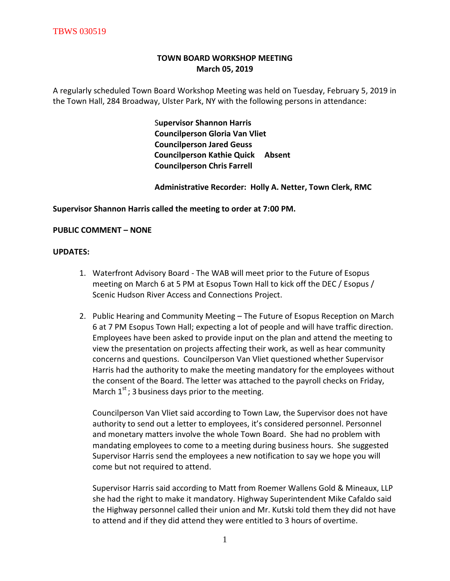# **TOWN BOARD WORKSHOP MEETING March 05, 2019**

A regularly scheduled Town Board Workshop Meeting was held on Tuesday, February 5, 2019 in the Town Hall, 284 Broadway, Ulster Park, NY with the following persons in attendance:

> S**upervisor Shannon Harris Councilperson Gloria Van Vliet Councilperson Jared Geuss Councilperson Kathie Quick Absent Councilperson Chris Farrell**

 **Administrative Recorder: Holly A. Netter, Town Clerk, RMC**

## **Supervisor Shannon Harris called the meeting to order at 7:00 PM.**

# **PUBLIC COMMENT – NONE**

## **UPDATES:**

- 1. Waterfront Advisory Board The WAB will meet prior to the Future of Esopus meeting on March 6 at 5 PM at Esopus Town Hall to kick off the DEC / Esopus / Scenic Hudson River Access and Connections Project.
- 2. Public Hearing and Community Meeting The Future of Esopus Reception on March 6 at 7 PM Esopus Town Hall; expecting a lot of people and will have traffic direction. Employees have been asked to provide input on the plan and attend the meeting to view the presentation on projects affecting their work, as well as hear community concerns and questions. Councilperson Van Vliet questioned whether Supervisor Harris had the authority to make the meeting mandatory for the employees without the consent of the Board. The letter was attached to the payroll checks on Friday, March  $1<sup>st</sup>$ ; 3 business days prior to the meeting.

Councilperson Van Vliet said according to Town Law, the Supervisor does not have authority to send out a letter to employees, it's considered personnel. Personnel and monetary matters involve the whole Town Board. She had no problem with mandating employees to come to a meeting during business hours. She suggested Supervisor Harris send the employees a new notification to say we hope you will come but not required to attend.

Supervisor Harris said according to Matt from Roemer Wallens Gold & Mineaux, LLP she had the right to make it mandatory. Highway Superintendent Mike Cafaldo said the Highway personnel called their union and Mr. Kutski told them they did not have to attend and if they did attend they were entitled to 3 hours of overtime.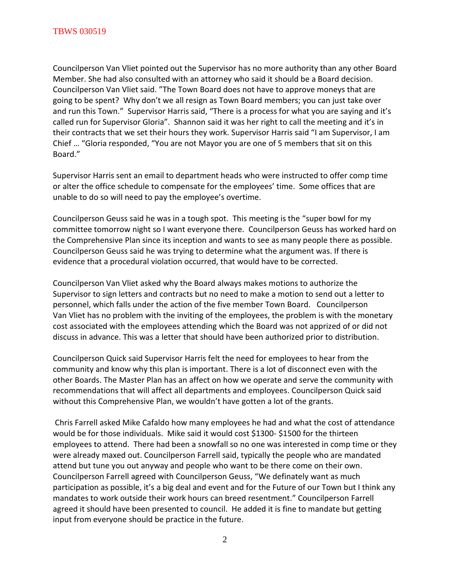Councilperson Van Vliet pointed out the Supervisor has no more authority than any other Board Member. She had also consulted with an attorney who said it should be a Board decision. Councilperson Van Vliet said. "The Town Board does not have to approve moneys that are going to be spent? Why don't we all resign as Town Board members; you can just take over and run this Town." Supervisor Harris said, "There is a process for what you are saying and it's called run for Supervisor Gloria". Shannon said it was her right to call the meeting and it's in their contracts that we set their hours they work. Supervisor Harris said "I am Supervisor, I am Chief … "Gloria responded, "You are not Mayor you are one of 5 members that sit on this Board."

Supervisor Harris sent an email to department heads who were instructed to offer comp time or alter the office schedule to compensate for the employees' time. Some offices that are unable to do so will need to pay the employee's overtime.

Councilperson Geuss said he was in a tough spot. This meeting is the "super bowl for my committee tomorrow night so I want everyone there. Councilperson Geuss has worked hard on the Comprehensive Plan since its inception and wants to see as many people there as possible. Councilperson Geuss said he was trying to determine what the argument was. If there is evidence that a procedural violation occurred, that would have to be corrected.

Councilperson Van Vliet asked why the Board always makes motions to authorize the Supervisor to sign letters and contracts but no need to make a motion to send out a letter to personnel, which falls under the action of the five member Town Board. Councilperson Van Vliet has no problem with the inviting of the employees, the problem is with the monetary cost associated with the employees attending which the Board was not apprized of or did not discuss in advance. This was a letter that should have been authorized prior to distribution.

Councilperson Quick said Supervisor Harris felt the need for employees to hear from the community and know why this plan is important. There is a lot of disconnect even with the other Boards. The Master Plan has an affect on how we operate and serve the community with recommendations that will affect all departments and employees. Councilperson Quick said without this Comprehensive Plan, we wouldn't have gotten a lot of the grants.

Chris Farrell asked Mike Cafaldo how many employees he had and what the cost of attendance would be for those individuals. Mike said it would cost \$1300- \$1500 for the thirteen employees to attend. There had been a snowfall so no one was interested in comp time or they were already maxed out. Councilperson Farrell said, typically the people who are mandated attend but tune you out anyway and people who want to be there come on their own. Councilperson Farrell agreed with Councilperson Geuss, "We definately want as much participation as possible, it's a big deal and event and for the Future of our Town but I think any mandates to work outside their work hours can breed resentment." Councilperson Farrell agreed it should have been presented to council. He added it is fine to mandate but getting input from everyone should be practice in the future.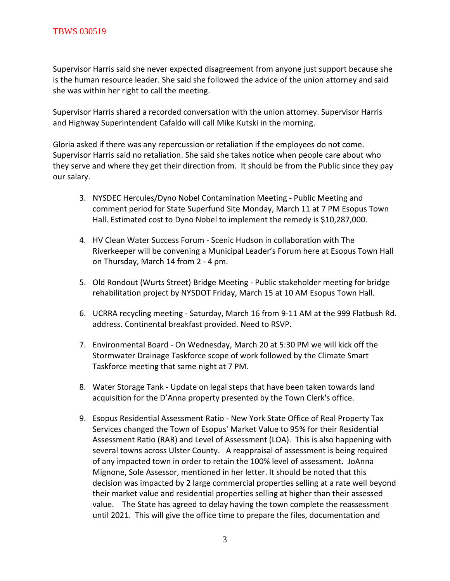Supervisor Harris said she never expected disagreement from anyone just support because she is the human resource leader. She said she followed the advice of the union attorney and said she was within her right to call the meeting.

Supervisor Harris shared a recorded conversation with the union attorney. Supervisor Harris and Highway Superintendent Cafaldo will call Mike Kutski in the morning.

Gloria asked if there was any repercussion or retaliation if the employees do not come. Supervisor Harris said no retaliation. She said she takes notice when people care about who they serve and where they get their direction from. It should be from the Public since they pay our salary.

- 3. NYSDEC Hercules/Dyno Nobel Contamination Meeting Public Meeting and comment period for State Superfund Site Monday, March 11 at 7 PM Esopus Town Hall. Estimated cost to Dyno Nobel to implement the remedy is \$10,287,000.
- 4. HV Clean Water Success Forum Scenic Hudson in collaboration with The Riverkeeper will be convening a Municipal Leader's Forum here at Esopus Town Hall on Thursday, March 14 from 2 - 4 pm.
- 5. Old Rondout (Wurts Street) Bridge Meeting Public stakeholder meeting for bridge rehabilitation project by NYSDOT Friday, March 15 at 10 AM Esopus Town Hall.
- 6. UCRRA recycling meeting Saturday, March 16 from 9-11 AM at the 999 Flatbush Rd. address. Continental breakfast provided. Need to RSVP.
- 7. Environmental Board On Wednesday, March 20 at 5:30 PM we will kick off the Stormwater Drainage Taskforce scope of work followed by the Climate Smart Taskforce meeting that same night at 7 PM.
- 8. Water Storage Tank Update on legal steps that have been taken towards land acquisition for the D'Anna property presented by the Town Clerk's office.
- 9. Esopus Residential Assessment Ratio New York State Office of Real Property Tax Services changed the Town of Esopus' Market Value to 95% for their Residential Assessment Ratio (RAR) and Level of Assessment (LOA). This is also happening with several towns across Ulster County. A reappraisal of assessment is being required of any impacted town in order to retain the 100% level of assessment. JoAnna Mignone, Sole Assessor, mentioned in her letter. It should be noted that this decision was impacted by 2 large commercial properties selling at a rate well beyond their market value and residential properties selling at higher than their assessed value. The State has agreed to delay having the town complete the reassessment until 2021. This will give the office time to prepare the files, documentation and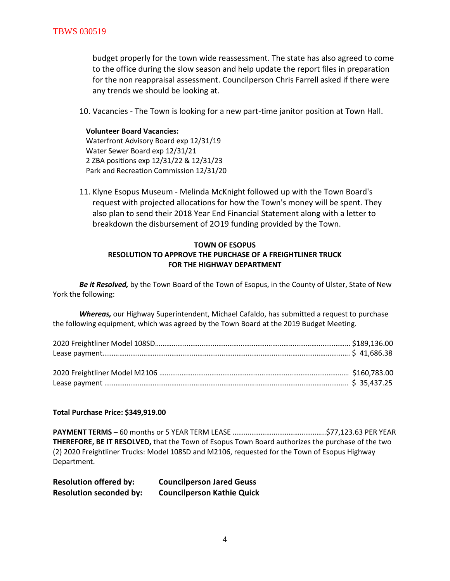budget properly for the town wide reassessment. The state has also agreed to come to the office during the slow season and help update the report files in preparation for the non reappraisal assessment. Councilperson Chris Farrell asked if there were any trends we should be looking at.

10. Vacancies - The Town is looking for a new part-time janitor position at Town Hall.

#### **Volunteer Board Vacancies:**

Waterfront Advisory Board exp 12/31/19 Water Sewer Board exp 12/31/21 2 ZBA positions exp 12/31/22 & 12/31/23 Park and Recreation Commission 12/31/20

11. Klyne Esopus Museum - Melinda McKnight followed up with the Town Board's request with projected allocations for how the Town's money will be spent. They also plan to send their 2018 Year End Financial Statement along with a letter to breakdown the disbursement of 2O19 funding provided by the Town.

# **TOWN OF ESOPUS RESOLUTION TO APPROVE THE PURCHASE OF A FREIGHTLINER TRUCK FOR THE HIGHWAY DEPARTMENT**

*Be it Resolved,* by the Town Board of the Town of Esopus, in the County of Ulster, State of New York the following:

*Whereas,* our Highway Superintendent, Michael Cafaldo, has submitted a request to purchase the following equipment, which was agreed by the Town Board at the 2019 Budget Meeting.

**Total Purchase Price: \$349,919.00**

**PAYMENT TERMS** – 60 months or 5 YEAR TERM LEASE …………………………………………..\$77,123.63 PER YEAR **THEREFORE, BE IT RESOLVED,** that the Town of Esopus Town Board authorizes the purchase of the two (2) 2020 Freightliner Trucks: Model 108SD and M2106, requested for the Town of Esopus Highway Department.

| <b>Resolution offered by:</b>  | <b>Councilperson Jared Geuss</b>  |
|--------------------------------|-----------------------------------|
| <b>Resolution seconded by:</b> | <b>Councilperson Kathie Quick</b> |